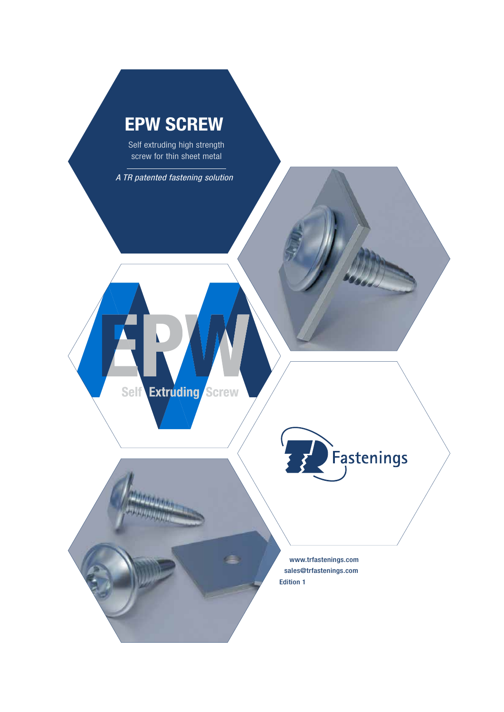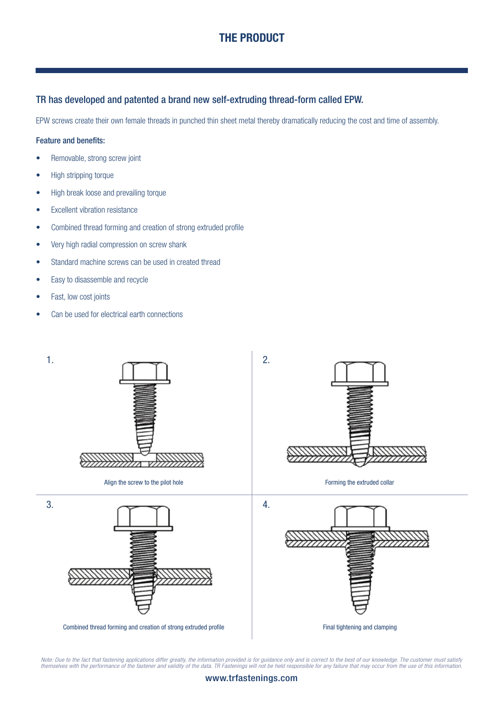# THE PRODUCT

#### TR has developed and patented a brand new self-extruding thread-form called EPW.

EPW screws create their own female threads in punched thin sheet metal thereby dramatically reducing the cost and time of assembly.

#### Feature and benefits:

- Removable, strong screw joint
- High stripping torque
- High break loose and prevailing torque
- Excellent vibration resistance
- Combined thread forming and creation of strong extruded profile
- Very high radial compression on screw shank
- Standard machine screws can be used in created thread
- Easy to disassemble and recycle
- Fast, low cost joints
- Can be used for electrical earth connections



Note: Due to the fact that fastening applications differ greatly, the information provided is for guidance only and is correct to the best of our knowledge. The customer must satisfy<br>themselves with the performance of the

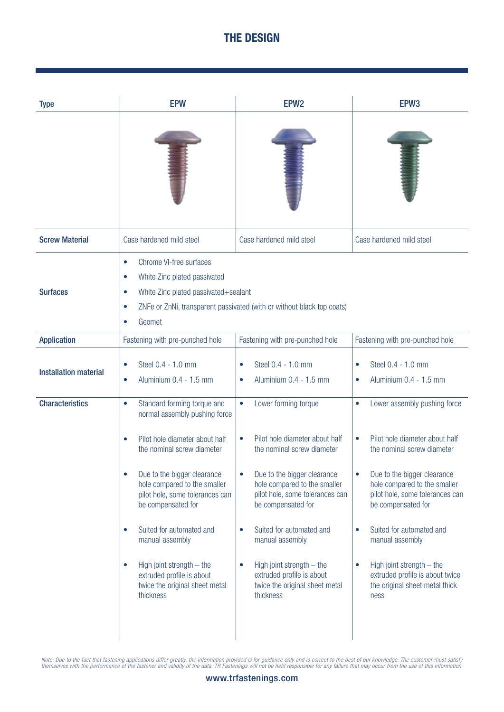# THE DESIGN

| <b>Type</b>                  | <b>EPW</b>                                                                                                                                                                                                                                                                                                                                                                                                                                                                      | EPW <sub>2</sub>                                                                                                                                                                                                                                                                                                                                                                                                                        | EPW <sub>3</sub>                                                                                                                                                                                                                                                                                                                                                                                                                               |  |  |
|------------------------------|---------------------------------------------------------------------------------------------------------------------------------------------------------------------------------------------------------------------------------------------------------------------------------------------------------------------------------------------------------------------------------------------------------------------------------------------------------------------------------|-----------------------------------------------------------------------------------------------------------------------------------------------------------------------------------------------------------------------------------------------------------------------------------------------------------------------------------------------------------------------------------------------------------------------------------------|------------------------------------------------------------------------------------------------------------------------------------------------------------------------------------------------------------------------------------------------------------------------------------------------------------------------------------------------------------------------------------------------------------------------------------------------|--|--|
|                              |                                                                                                                                                                                                                                                                                                                                                                                                                                                                                 |                                                                                                                                                                                                                                                                                                                                                                                                                                         |                                                                                                                                                                                                                                                                                                                                                                                                                                                |  |  |
| <b>Screw Material</b>        | Case hardened mild steel                                                                                                                                                                                                                                                                                                                                                                                                                                                        | Case hardened mild steel                                                                                                                                                                                                                                                                                                                                                                                                                | Case hardened mild steel                                                                                                                                                                                                                                                                                                                                                                                                                       |  |  |
| <b>Surfaces</b>              | Chrome VI-free surfaces<br>$\bullet$<br>White Zinc plated passivated<br>$\bullet$<br>White Zinc plated passivated+sealant<br>$\bullet$<br>ZNFe or ZnNi, transparent passivated (with or without black top coats)<br>$\bullet$<br>Geomet<br>$\bullet$                                                                                                                                                                                                                            |                                                                                                                                                                                                                                                                                                                                                                                                                                         |                                                                                                                                                                                                                                                                                                                                                                                                                                                |  |  |
| <b>Application</b>           | Fastening with pre-punched hole                                                                                                                                                                                                                                                                                                                                                                                                                                                 | Fastening with pre-punched hole                                                                                                                                                                                                                                                                                                                                                                                                         | Fastening with pre-punched hole                                                                                                                                                                                                                                                                                                                                                                                                                |  |  |
| <b>Installation material</b> | Steel 0.4 - 1.0 mm<br>$\bullet$<br>Aluminium 0.4 - 1.5 mm<br>$\bullet$                                                                                                                                                                                                                                                                                                                                                                                                          | Steel 0.4 - 1.0 mm<br>$\bullet$<br>Aluminium 0.4 - 1.5 mm<br>$\bullet$                                                                                                                                                                                                                                                                                                                                                                  | Steel 0.4 - 1.0 mm<br>$\bullet$<br>Aluminium 0.4 - 1.5 mm<br>$\bullet$                                                                                                                                                                                                                                                                                                                                                                         |  |  |
| <b>Characteristics</b>       | Standard forming torque and<br>$\bullet$<br>normal assembly pushing force<br>Pilot hole diameter about half<br>$\bullet$<br>the nominal screw diameter<br>Due to the bigger clearance<br>$\bullet$<br>hole compared to the smaller<br>pilot hole, some tolerances can<br>be compensated for<br>Suited for automated and<br>$\bullet$<br>manual assembly<br>High joint strength $-$ the<br>$\bullet$<br>extruded profile is about<br>twice the original sheet metal<br>thickness | Lower forming torque<br>$\bullet$<br>Pilot hole diameter about half<br>$\bullet$<br>the nominal screw diameter<br>Due to the bigger clearance<br>$\bullet$<br>hole compared to the smaller<br>pilot hole, some tolerances can<br>be compensated for<br>Suited for automated and<br>$\bullet$<br>manual assembly<br>High joint strength $-$ the<br>$\bullet$<br>extruded profile is about<br>twice the original sheet metal<br>thickness | Lower assembly pushing force<br>$\bullet$<br>Pilot hole diameter about half<br>$\bullet$<br>the nominal screw diameter<br>Due to the bigger clearance<br>$\bullet$<br>hole compared to the smaller<br>pilot hole, some tolerances can<br>be compensated for<br>Suited for automated and<br>$\bullet$<br>manual assembly<br>High joint strength - the<br>$\bullet$<br>extruded profile is about twice<br>the original sheet metal thick<br>ness |  |  |

Note: Due to the fact that fastening applications differ greatly, the information provided is for guidance only and is correct to the best of our knowledge. The customer must satisfy<br>themselves with the performance of the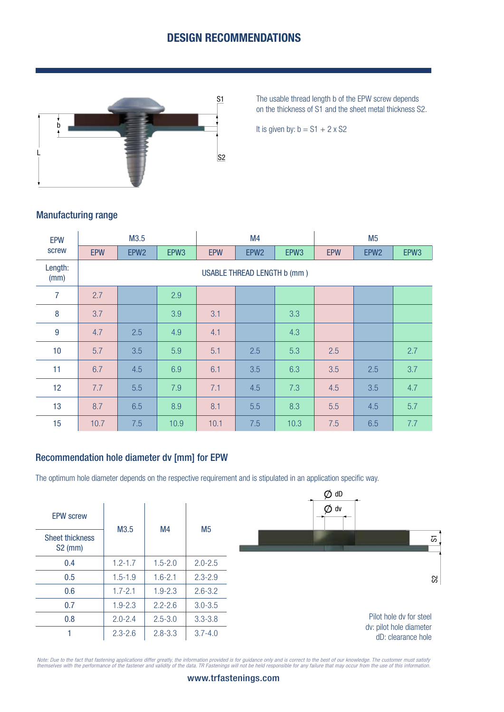## DESIGN RECOMMENDATIONS



The usable thread length b of the EPW screw depends on the thickness of S1 and the sheet metal thickness S2.

It is given by:  $b = S1 + 2 \times S2$ 

## Manufacturing range

| <b>EPW</b>      | M3.5                               |                  |      | M4         |                  |      | M <sub>5</sub> |                  |      |
|-----------------|------------------------------------|------------------|------|------------|------------------|------|----------------|------------------|------|
| screw           | <b>EPW</b>                         | EPW <sub>2</sub> | EPW3 | <b>EPW</b> | EPW <sub>2</sub> | EPW3 | <b>EPW</b>     | EPW <sub>2</sub> | EPW3 |
| Length:<br>(mm) | <b>USABLE THREAD LENGTH b (mm)</b> |                  |      |            |                  |      |                |                  |      |
| 7               | 2.7                                |                  | 2.9  |            |                  |      |                |                  |      |
| 8               | 3.7                                |                  | 3.9  | 3.1        |                  | 3.3  |                |                  |      |
| 9               | 4.7                                | 2.5              | 4.9  | 4.1        |                  | 4.3  |                |                  |      |
| 10              | 5.7                                | 3.5              | 5.9  | 5.1        | 2.5              | 5.3  | 2.5            |                  | 2.7  |
| 11              | 6.7                                | 4.5              | 6.9  | 6.1        | 3.5              | 6.3  | 3.5            | 2.5              | 3.7  |
| 12              | 7.7                                | 5.5              | 7.9  | 7.1        | 4.5              | 7.3  | 4.5            | 3.5              | 4.7  |
| 13              | 8.7                                | 6.5              | 8.9  | 8.1        | 5.5              | 8.3  | 5.5            | 4.5              | 5.7  |
| 15              | 10.7                               | 7.5              | 10.9 | 10.1       | 7.5              | 10.3 | 7.5            | 6.5              | 7.7  |

### Recommendation hole diameter dv [mm] for EPW

The optimum hole diameter depends on the respective requirement and is stipulated in an application specific way.

|                                     |             |             |                | $\emptyset$ dD                                |
|-------------------------------------|-------------|-------------|----------------|-----------------------------------------------|
| <b>EPW screw</b>                    |             |             |                | $\emptyset$ dv                                |
| <b>Sheet thickness</b><br>$S2$ (mm) | M3.5        | M4          | M <sub>5</sub> | 5                                             |
| 0.4                                 | $1.2 - 1.7$ | $1.5 - 2.0$ | $2.0 - 2.5$    |                                               |
| 0.5                                 | $1.5 - 1.9$ | $1.6 - 2.1$ | $2.3 - 2.9$    | S                                             |
| 0.6                                 | $1.7 - 2.1$ | $1.9 - 2.3$ | $2.6 - 3.2$    |                                               |
| 0.7                                 | $1.9 - 2.3$ | $2.2 - 2.6$ | $3.0 - 3.5$    |                                               |
| 0.8                                 | $2.0 - 2.4$ | $2.5 - 3.0$ | $3.3 - 3.8$    | Pilot hole dy for steel                       |
|                                     | $2.3 - 2.6$ | $2.8 - 3.3$ | $3.7 - 4.0$    | dv: pilot hole diameter<br>dD: clearance hole |

Note: Due to the fact that fastening applications differ greatly, the information provided is for guidance only and is correct to the best of our knowledge. The customer must satisfy<br>themselves with the performance of the

#### www.trfastenings.com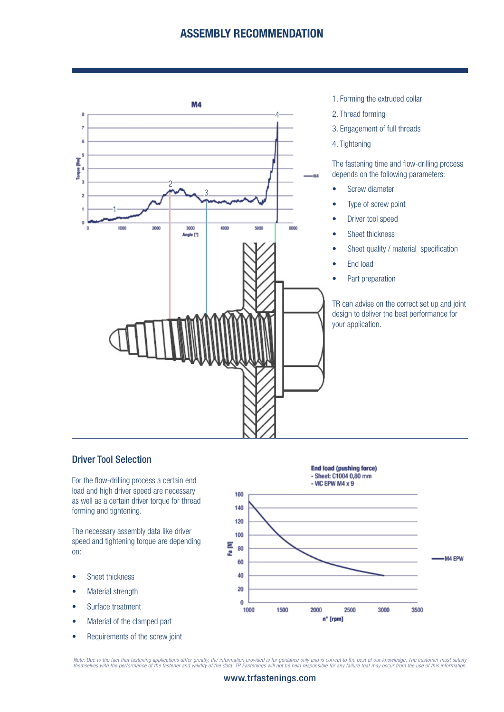## ASSEMBLY RECOMMENDATION



- 1. Forming the extruded collar
- 2. Thread forming
- 3. Engagement of full threads
- 4. Tightening

The fastening time and flow-drilling process depends on the following parameters:

- Screw diameter
- Type of screw point
- Driver tool speed
- Sheet thickness
- Sheet quality / material specification
- End load
- Part preparation

TR can advise on the correct set up and joint design to deliver the best performance for your application.

### Driver Tool Selection

For the flow-drilling process a certain end load and high driver speed are necessary as well as a certain driver torque for thread forming and tightening.

The necessary assembly data like driver speed and tightening torque are depending on:

- Sheet thickness
- Material strength
- Surface treatment
- Material of the clamped part
- Requirements of the screw joint



Note: Due to the fact that fastening applications differ greatly, the information provided is for guidance only and is correct to the best of our knowledge. The customer must satisfy<br>themselves with the performance of the

#### www.trfastenings.com